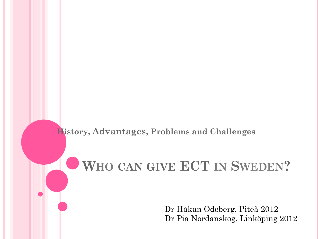#### **History, Advantages, Problems and Challenges**

# **WHO CAN GIVE ECT IN SWEDEN?**

Dr Håkan Odeberg, Piteå 2012 Dr Pia Nordanskog, Linköping 2012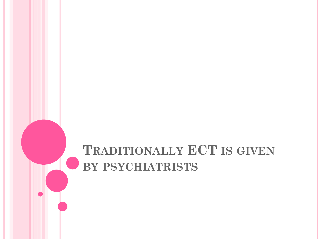# **TRADITIONALLY ECT IS GIVEN BY PSYCHIATRISTS**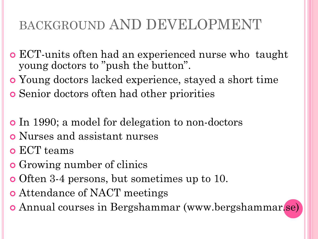# BACKGROUND AND DEVELOPMENT

- ECT-units often had an experienced nurse who taught young doctors to "push the button".
- Young doctors lacked experience, stayed a short time
- Senior doctors often had other priorities
- In 1990; a model for delegation to non-doctors
- Nurses and assistant nurses
- ECT teams
- **o** Growing number of clinics
- Often 3-4 persons, but sometimes up to 10.
- Attendance of NACT meetings
- Annual courses in Bergshammar (www.bergshammar.se)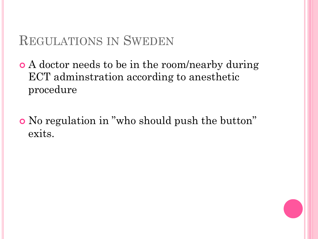### REGULATIONS IN SWEDEN

 A doctor needs to be in the room/nearby during ECT adminstration according to anesthetic procedure

 No regulation in "who should push the button" exits.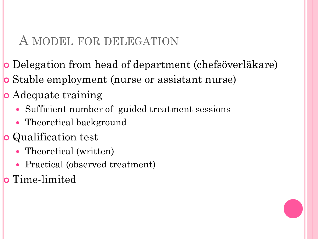#### A MODEL FOR DELEGATION

- Delegation from head of department (chefsöverläkare)
- Stable employment (nurse or assistant nurse)
- Adequate training
	- Sufficient number of guided treatment sessions
	- Theoretical background
- **o** Qualification test
	- Theoretical (written)
	- Practical (observed treatment)
- **o** Time-limited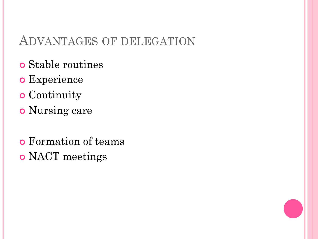#### ADVANTAGES OF DELEGATION

- Stable routines
- Experience
- **o** Continuity
- Nursing care
- Formation of teams o NACT meetings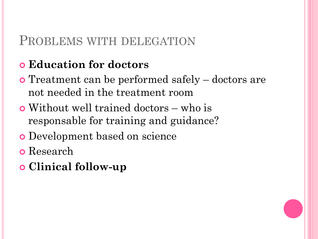#### PROBLEMS WITH DELEGATION

#### **Education for doctors**

- Treatment can be performed safely doctors are not needed in the treatment room
- Without well trained doctors who is responsable for training and guidance?
- Development based on science
- Research
- **Clinical follow-up**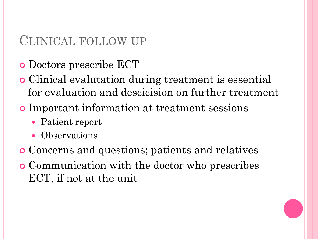### CLINICAL FOLLOW UP

- Doctors prescribe ECT
- Clinical evalutation during treatment is essential for evaluation and descicision on further treatment
- Important information at treatment sessions
	- Patient report
	- Observations
- Concerns and questions; patients and relatives
- Communication with the doctor who prescribes ECT, if not at the unit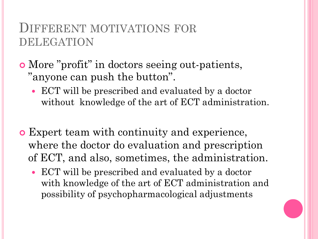#### DIFFERENT MOTIVATIONS FOR DELEGATION

#### More "profit" in doctors seeing out-patients, "anyone can push the button".

- ECT will be prescribed and evaluated by a doctor without knowledge of the art of ECT administration.
- Expert team with continuity and experience, where the doctor do evaluation and prescription of ECT, and also, sometimes, the administration.
	- ECT will be prescribed and evaluated by a doctor with knowledge of the art of ECT administration and possibility of psychopharmacological adjustments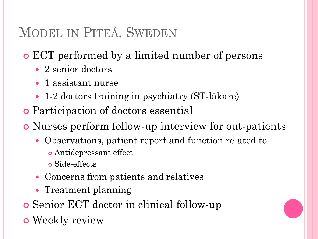# MODEL IN PITEÅ, SWEDEN

ECT performed by a limited number of persons

- 2 senior doctors
- 1 assistant nurse
- 1-2 doctors training in psychiatry (ST-läkare)
- Participation of doctors essential

Nurses perform follow-up interview for out-patients

- Observations, patient report and function related to
	- Antidepressant effect
	- Side-effects
- Concerns from patients and relatives
- Treatment planning
- Senior ECT doctor in clinical follow-up
- **o** Weekly review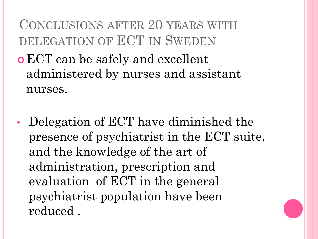# CONCLUSIONS AFTER 20 YEARS WITH DELEGATION OF ECT IN SWEDEN

- ECT can be safely and excellent administered by nurses and assistant nurses.
- Delegation of ECT have diminished the presence of psychiatrist in the ECT suite, and the knowledge of the art of administration, prescription and evaluation of ECT in the general psychiatrist population have been reduced .